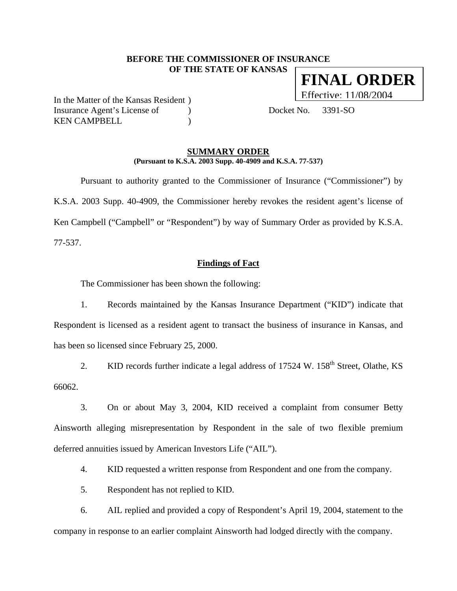## **BEFORE THE COMMISSIONER OF INSURANCE OF THE STATE OF KANSAS FINAL ORDER**

In the Matter of the Kansas Resident ) Insurance Agent's License of (a) Docket No. 3391-SO KEN CAMPBELL (1998)

Effective: 11/08/2004

#### **SUMMARY ORDER (Pursuant to K.S.A. 2003 Supp. 40-4909 and K.S.A. 77-537)**

 Pursuant to authority granted to the Commissioner of Insurance ("Commissioner") by K.S.A. 2003 Supp. 40-4909, the Commissioner hereby revokes the resident agent's license of Ken Campbell ("Campbell" or "Respondent") by way of Summary Order as provided by K.S.A. 77-537.

#### **Findings of Fact**

The Commissioner has been shown the following:

1. Records maintained by the Kansas Insurance Department ("KID") indicate that Respondent is licensed as a resident agent to transact the business of insurance in Kansas, and has been so licensed since February 25, 2000.

2. KID records further indicate a legal address of  $17524$  W.  $158<sup>th</sup>$  Street, Olathe, KS 66062.

3. On or about May 3, 2004, KID received a complaint from consumer Betty Ainsworth alleging misrepresentation by Respondent in the sale of two flexible premium deferred annuities issued by American Investors Life ("AIL").

4. KID requested a written response from Respondent and one from the company.

5. Respondent has not replied to KID.

6. AIL replied and provided a copy of Respondent's April 19, 2004, statement to the company in response to an earlier complaint Ainsworth had lodged directly with the company.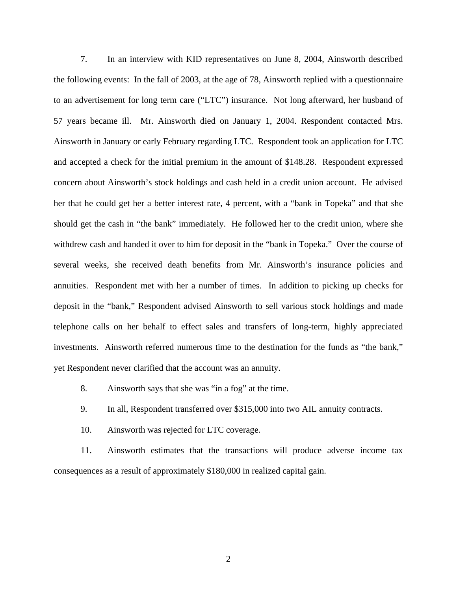7. In an interview with KID representatives on June 8, 2004, Ainsworth described the following events: In the fall of 2003, at the age of 78, Ainsworth replied with a questionnaire to an advertisement for long term care ("LTC") insurance. Not long afterward, her husband of 57 years became ill. Mr. Ainsworth died on January 1, 2004. Respondent contacted Mrs. Ainsworth in January or early February regarding LTC. Respondent took an application for LTC and accepted a check for the initial premium in the amount of \$148.28. Respondent expressed concern about Ainsworth's stock holdings and cash held in a credit union account. He advised her that he could get her a better interest rate, 4 percent, with a "bank in Topeka" and that she should get the cash in "the bank" immediately. He followed her to the credit union, where she withdrew cash and handed it over to him for deposit in the "bank in Topeka." Over the course of several weeks, she received death benefits from Mr. Ainsworth's insurance policies and annuities. Respondent met with her a number of times. In addition to picking up checks for deposit in the "bank," Respondent advised Ainsworth to sell various stock holdings and made telephone calls on her behalf to effect sales and transfers of long-term, highly appreciated investments. Ainsworth referred numerous time to the destination for the funds as "the bank," yet Respondent never clarified that the account was an annuity.

- 8. Ainsworth says that she was "in a fog" at the time.
- 9. In all, Respondent transferred over \$315,000 into two AIL annuity contracts.
- 10. Ainsworth was rejected for LTC coverage.

11. Ainsworth estimates that the transactions will produce adverse income tax consequences as a result of approximately \$180,000 in realized capital gain.

2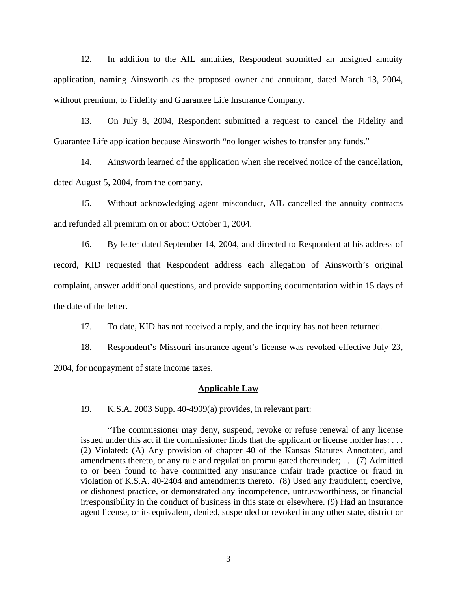12. In addition to the AIL annuities, Respondent submitted an unsigned annuity application, naming Ainsworth as the proposed owner and annuitant, dated March 13, 2004, without premium, to Fidelity and Guarantee Life Insurance Company.

13. On July 8, 2004, Respondent submitted a request to cancel the Fidelity and Guarantee Life application because Ainsworth "no longer wishes to transfer any funds."

14. Ainsworth learned of the application when she received notice of the cancellation, dated August 5, 2004, from the company.

15. Without acknowledging agent misconduct, AIL cancelled the annuity contracts and refunded all premium on or about October 1, 2004.

16. By letter dated September 14, 2004, and directed to Respondent at his address of record, KID requested that Respondent address each allegation of Ainsworth's original complaint, answer additional questions, and provide supporting documentation within 15 days of the date of the letter.

17. To date, KID has not received a reply, and the inquiry has not been returned.

18. Respondent's Missouri insurance agent's license was revoked effective July 23, 2004, for nonpayment of state income taxes.

#### **Applicable Law**

19. K.S.A. 2003 Supp. 40-4909(a) provides, in relevant part:

"The commissioner may deny, suspend, revoke or refuse renewal of any license issued under this act if the commissioner finds that the applicant or license holder has: . . . (2) Violated: (A) Any provision of chapter 40 of the Kansas Statutes Annotated, and amendments thereto, or any rule and regulation promulgated thereunder; . . . (7) Admitted to or been found to have committed any insurance unfair trade practice or fraud in violation of K.S.A. 40-2404 and amendments thereto. (8) Used any fraudulent, coercive, or dishonest practice, or demonstrated any incompetence, untrustworthiness, or financial irresponsibility in the conduct of business in this state or elsewhere. (9) Had an insurance agent license, or its equivalent, denied, suspended or revoked in any other state, district or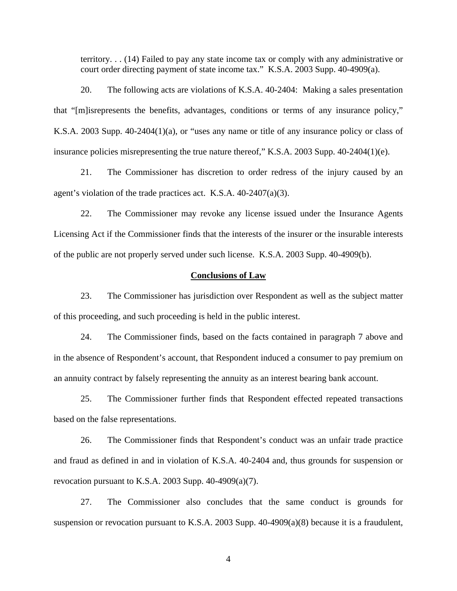territory. . . (14) Failed to pay any state income tax or comply with any administrative or court order directing payment of state income tax." K.S.A. 2003 Supp. 40-4909(a).

20. The following acts are violations of K.S.A. 40-2404: Making a sales presentation that "[m]isrepresents the benefits, advantages, conditions or terms of any insurance policy," K.S.A. 2003 Supp. 40-2404(1)(a), or "uses any name or title of any insurance policy or class of insurance policies misrepresenting the true nature thereof," K.S.A. 2003 Supp. 40-2404(1)(e).

21. The Commissioner has discretion to order redress of the injury caused by an agent's violation of the trade practices act. K.S.A. 40-2407(a)(3).

22. The Commissioner may revoke any license issued under the Insurance Agents Licensing Act if the Commissioner finds that the interests of the insurer or the insurable interests of the public are not properly served under such license. K.S.A. 2003 Supp. 40-4909(b).

#### **Conclusions of Law**

23. The Commissioner has jurisdiction over Respondent as well as the subject matter of this proceeding, and such proceeding is held in the public interest.

24. The Commissioner finds, based on the facts contained in paragraph 7 above and in the absence of Respondent's account, that Respondent induced a consumer to pay premium on an annuity contract by falsely representing the annuity as an interest bearing bank account.

25. The Commissioner further finds that Respondent effected repeated transactions based on the false representations.

26. The Commissioner finds that Respondent's conduct was an unfair trade practice and fraud as defined in and in violation of K.S.A. 40-2404 and, thus grounds for suspension or revocation pursuant to K.S.A. 2003 Supp.  $40-4909(a)(7)$ .

27. The Commissioner also concludes that the same conduct is grounds for suspension or revocation pursuant to K.S.A. 2003 Supp. 40-4909(a)(8) because it is a fraudulent,

4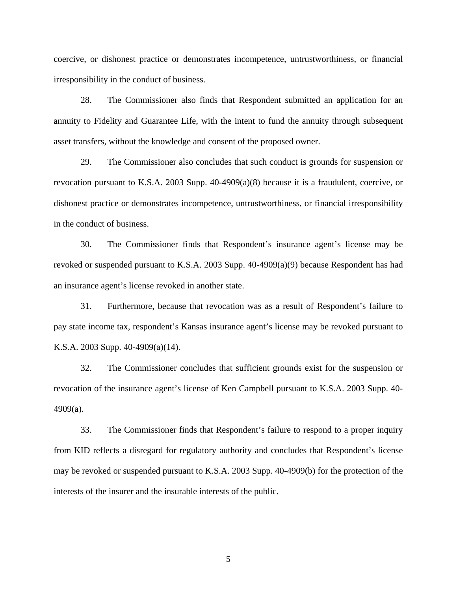coercive, or dishonest practice or demonstrates incompetence, untrustworthiness, or financial irresponsibility in the conduct of business.

28. The Commissioner also finds that Respondent submitted an application for an annuity to Fidelity and Guarantee Life, with the intent to fund the annuity through subsequent asset transfers, without the knowledge and consent of the proposed owner.

29. The Commissioner also concludes that such conduct is grounds for suspension or revocation pursuant to K.S.A. 2003 Supp. 40-4909(a)(8) because it is a fraudulent, coercive, or dishonest practice or demonstrates incompetence, untrustworthiness, or financial irresponsibility in the conduct of business.

30. The Commissioner finds that Respondent's insurance agent's license may be revoked or suspended pursuant to K.S.A. 2003 Supp. 40-4909(a)(9) because Respondent has had an insurance agent's license revoked in another state.

31. Furthermore, because that revocation was as a result of Respondent's failure to pay state income tax, respondent's Kansas insurance agent's license may be revoked pursuant to K.S.A. 2003 Supp. 40-4909(a)(14).

32. The Commissioner concludes that sufficient grounds exist for the suspension or revocation of the insurance agent's license of Ken Campbell pursuant to K.S.A. 2003 Supp. 40- 4909(a).

33. The Commissioner finds that Respondent's failure to respond to a proper inquiry from KID reflects a disregard for regulatory authority and concludes that Respondent's license may be revoked or suspended pursuant to K.S.A. 2003 Supp. 40-4909(b) for the protection of the interests of the insurer and the insurable interests of the public.

5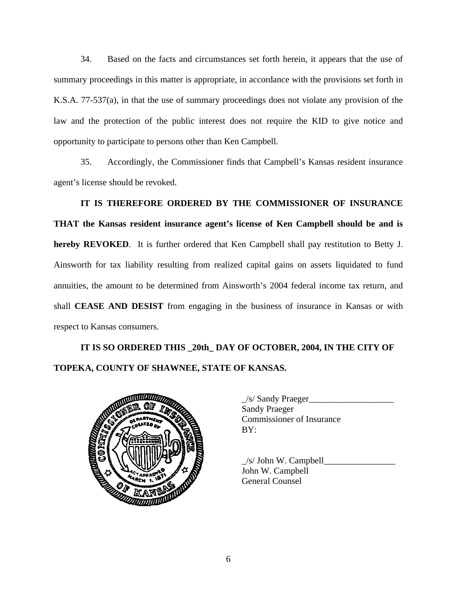34. Based on the facts and circumstances set forth herein, it appears that the use of summary proceedings in this matter is appropriate, in accordance with the provisions set forth in K.S.A. 77-537(a), in that the use of summary proceedings does not violate any provision of the law and the protection of the public interest does not require the KID to give notice and opportunity to participate to persons other than Ken Campbell.

35. Accordingly, the Commissioner finds that Campbell's Kansas resident insurance agent's license should be revoked.

**IT IS THEREFORE ORDERED BY THE COMMISSIONER OF INSURANCE THAT the Kansas resident insurance agent's license of Ken Campbell should be and is hereby REVOKED**. It is further ordered that Ken Campbell shall pay restitution to Betty J. Ainsworth for tax liability resulting from realized capital gains on assets liquidated to fund annuities, the amount to be determined from Ainsworth's 2004 federal income tax return, and shall **CEASE AND DESIST** from engaging in the business of insurance in Kansas or with respect to Kansas consumers.

# **IT IS SO ORDERED THIS \_20th\_ DAY OF OCTOBER, 2004, IN THE CITY OF TOPEKA, COUNTY OF SHAWNEE, STATE OF KANSAS.**



| $\angle$ s/ Sandy Praeger |
|---------------------------|
| <b>Sandy Praeger</b>      |
| Commissioner of Insurance |
| BY:                       |
|                           |

 $\angle$ s/ John W. Campbell $\angle$ John W. Campbell General Counsel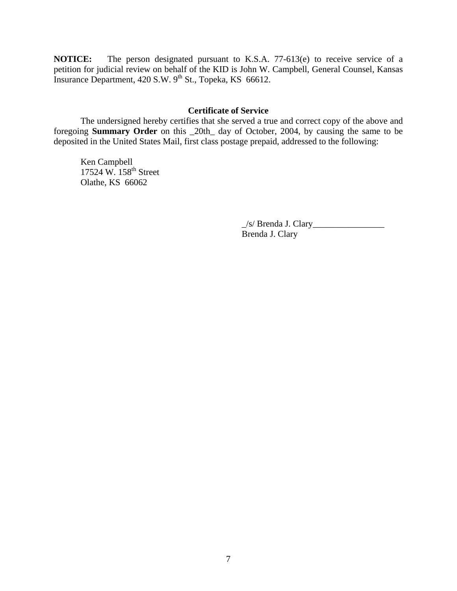**NOTICE:** The person designated pursuant to K.S.A. 77-613(e) to receive service of a petition for judicial review on behalf of the KID is John W. Campbell, General Counsel, Kansas Insurance Department, 420 S.W. 9<sup>th</sup> St., Topeka, KS 66612.

### **Certificate of Service**

 The undersigned hereby certifies that she served a true and correct copy of the above and foregoing **Summary Order** on this \_20th\_ day of October, 2004, by causing the same to be deposited in the United States Mail, first class postage prepaid, addressed to the following:

 Ken Campbell 17524 W. 158<sup>th</sup> Street Olathe, KS 66062

> $\angle$ s/ Brenda J. Clary $\angle$ Brenda J. Clary